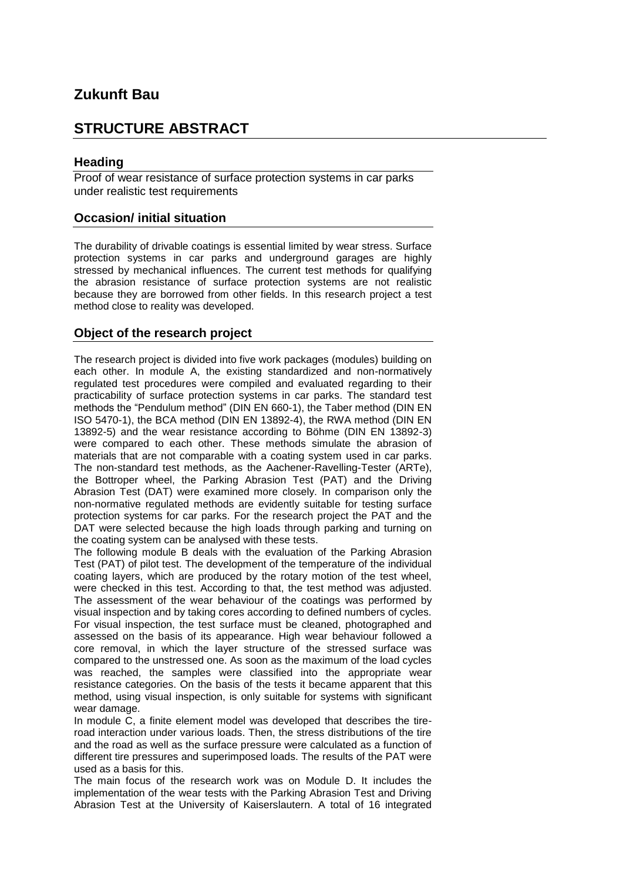## **Zukunft Bau**

### **STRUCTURE ABSTRACT**

#### **Heading**

Proof of wear resistance of surface protection systems in car parks under realistic test requirements

#### **Occasion/ initial situation**

The durability of drivable coatings is essential limited by wear stress. Surface protection systems in car parks and underground garages are highly stressed by mechanical influences. The current test methods for qualifying the abrasion resistance of surface protection systems are not realistic because they are borrowed from other fields. In this research project a test method close to reality was developed.

#### **Object of the research project**

The research project is divided into five work packages (modules) building on each other. In module A, the existing standardized and non-normatively regulated test procedures were compiled and evaluated regarding to their practicability of surface protection systems in car parks. The standard test methods the "Pendulum method" (DIN EN 660-1), the Taber method (DIN EN ISO 5470-1), the BCA method (DIN EN 13892-4), the RWA method (DIN EN 13892-5) and the wear resistance according to Böhme (DIN EN 13892-3) were compared to each other. These methods simulate the abrasion of materials that are not comparable with a coating system used in car parks. The non-standard test methods, as the Aachener-Ravelling-Tester (ARTe), the Bottroper wheel, the Parking Abrasion Test (PAT) and the Driving Abrasion Test (DAT) were examined more closely. In comparison only the non-normative regulated methods are evidently suitable for testing surface protection systems for car parks. For the research project the PAT and the DAT were selected because the high loads through parking and turning on the coating system can be analysed with these tests.

The following module B deals with the evaluation of the Parking Abrasion Test (PAT) of pilot test. The development of the temperature of the individual coating layers, which are produced by the rotary motion of the test wheel, were checked in this test. According to that, the test method was adjusted. The assessment of the wear behaviour of the coatings was performed by visual inspection and by taking cores according to defined numbers of cycles. For visual inspection, the test surface must be cleaned, photographed and assessed on the basis of its appearance. High wear behaviour followed a core removal, in which the layer structure of the stressed surface was compared to the unstressed one. As soon as the maximum of the load cycles was reached, the samples were classified into the appropriate wear resistance categories. On the basis of the tests it became apparent that this method, using visual inspection, is only suitable for systems with significant wear damage.

In module C, a finite element model was developed that describes the tireroad interaction under various loads. Then, the stress distributions of the tire and the road as well as the surface pressure were calculated as a function of different tire pressures and superimposed loads. The results of the PAT were used as a basis for this.

The main focus of the research work was on Module D. It includes the implementation of the wear tests with the Parking Abrasion Test and Driving Abrasion Test at the University of Kaiserslautern. A total of 16 integrated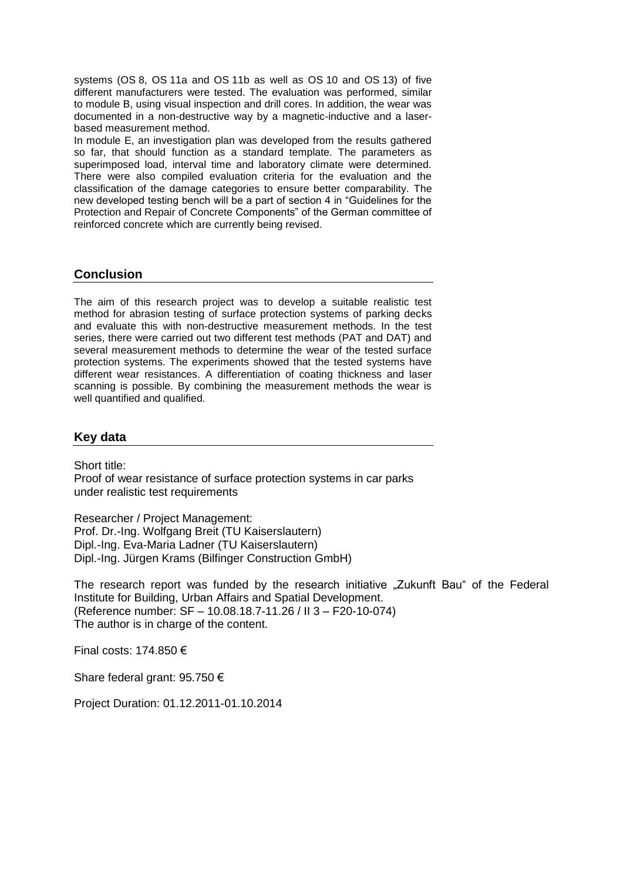systems (OS 8, OS 11a and OS 11b as well as OS 10 and OS 13) of five different manufacturers were tested. The evaluation was performed, similar to module B, using visual inspection and drill cores. In addition, the wear was documented in a non-destructive way by a magnetic-inductive and a laserbased measurement method.

In module E, an investigation plan was developed from the results gathered so far, that should function as a standard template. The parameters as superimposed load, interval time and laboratory climate were determined. There were also compiled evaluation criteria for the evaluation and the classification of the damage categories to ensure better comparability. The new developed testing bench will be a part of section 4 in "Guidelines for the Protection and Repair of Concrete Components" of the German committee of reinforced concrete which are currently being revised.

#### **Conclusion**

The aim of this research project was to develop a suitable realistic test method for abrasion testing of surface protection systems of parking decks and evaluate this with non-destructive measurement methods. In the test series, there were carried out two different test methods (PAT and DAT) and several measurement methods to determine the wear of the tested surface protection systems. The experiments showed that the tested systems have different wear resistances. A differentiation of coating thickness and laser scanning is possible. By combining the measurement methods the wear is well quantified and qualified.

#### **Key data**

Short title:

Proof of wear resistance of surface protection systems in car parks under realistic test requirements

Researcher / Project Management: Prof. Dr.-Ing. Wolfgang Breit (TU Kaiserslautern) Dipl.-Ing. Eva-Maria Ladner (TU Kaiserslautern) Dipl.-Ing. Jürgen Krams (Bilfinger Construction GmbH)

The research report was funded by the research initiative "Zukunft Bau" of the Federal Institute for Building, Urban Affairs and Spatial Development. (Reference number: SF – 10.08.18.7-11.26 / II 3 – F20-10-074) The author is in charge of the content.

Final costs: 174.850 €

Share federal grant: 95.750 €

Project Duration: 01.12.2011-01.10.2014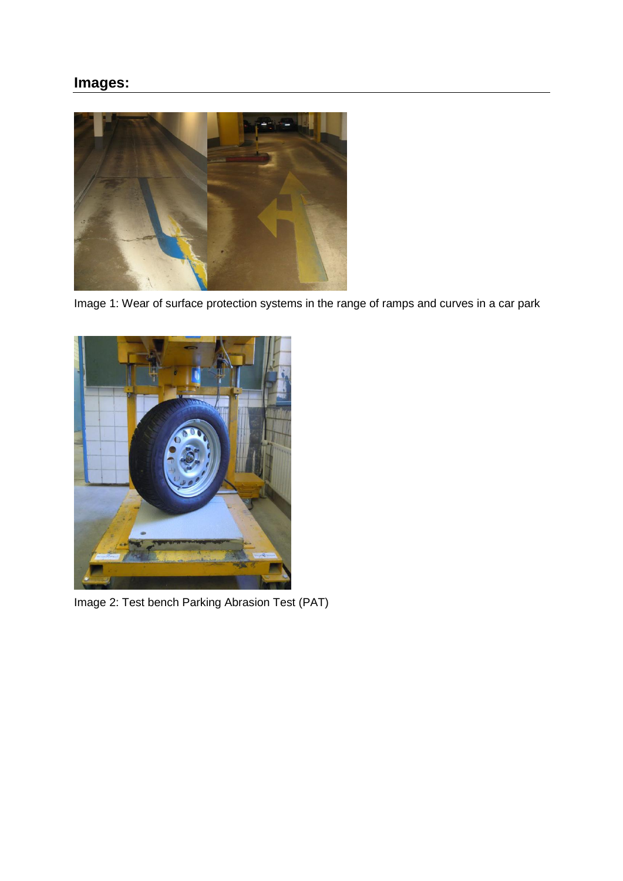# **Images:**



Image 1: Wear of surface protection systems in the range of ramps and curves in a car park



Image 2: Test bench Parking Abrasion Test (PAT)